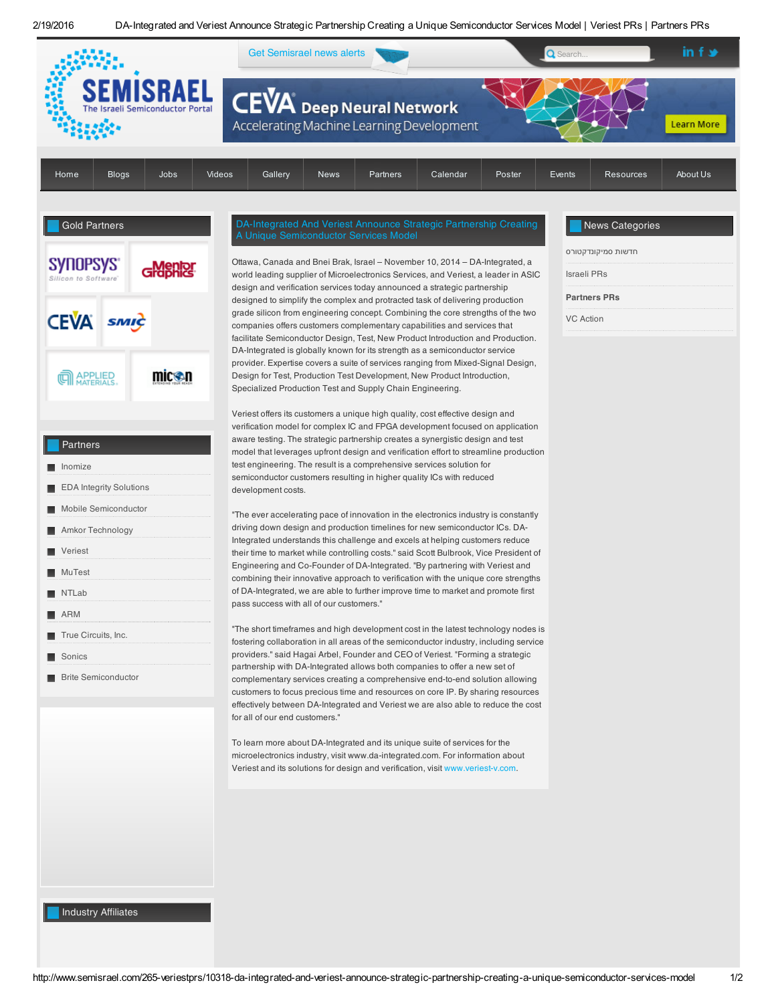2/19/2016 DA-Integrated and Veriest Announce Strategic Partnership Creating a Unique Semiconductor Services Model | Veriest PRs | Partners PRs



http://www.semisrael.com/265-veriestprs/10318-da-integrated-and-veriest-announce-strategic-partnership-creating-a-unique-semiconductor-services-model 1/2